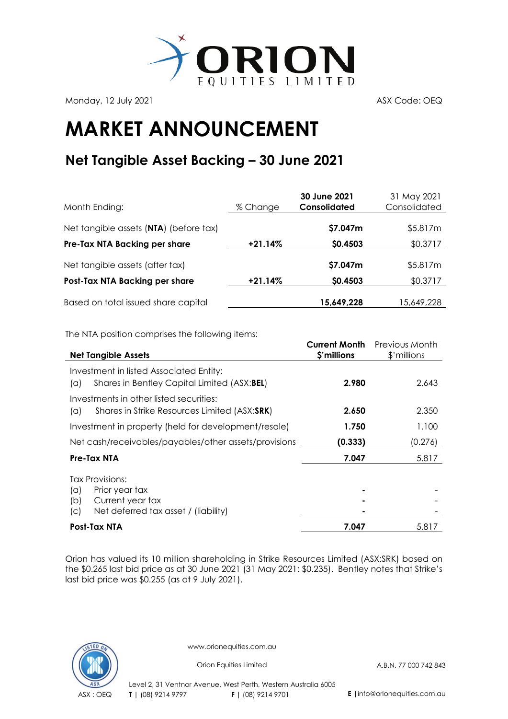

Monday, 12 July 2021 **ASX Code: OEQ** 

## **MARKET ANNOUNCEMENT**

## **Net Tangible Asset Backing – 30 June 2021**

| Month Ending:                          | % Change  | 30 June 2021<br>Consolidated | 31 May 2021<br>Consolidated |
|----------------------------------------|-----------|------------------------------|-----------------------------|
| Net tangible assets (NTA) (before tax) |           | \$7.047m                     | \$5.817m                    |
| Pre-Tax NTA Backing per share          | $+21.14%$ | \$0.4503                     | \$0.3717                    |
| Net tangible assets (after tax)        |           | \$7.047m                     | \$5.817m                    |
| Post-Tax NTA Backing per share         | $+21.14%$ | \$0.4503                     | \$0.3717                    |
| Based on total issued share capital    |           | 15,649,228                   | 15,649,228                  |

The NTA position comprises the following items:

| <b>Net Tangible Assets</b>                                                                                                | <b>Current Month</b><br>\$'millions | Previous Month<br>\$'millions |
|---------------------------------------------------------------------------------------------------------------------------|-------------------------------------|-------------------------------|
|                                                                                                                           |                                     |                               |
| Investment in listed Associated Entity:<br>Shares in Bentley Capital Limited (ASX:BEL)<br>$(\alpha)$                      | 2.980                               | 2.643                         |
| Investments in other listed securities:<br>Shares in Strike Resources Limited (ASX:SRK)<br>$(\alpha)$                     | 2.650                               | 2.350                         |
| Investment in property (held for development/resale)                                                                      | 1.750                               | 1.100                         |
| Net cash/receivables/payables/other assets/provisions                                                                     | (0.333)                             | (0.276)                       |
| Pre-Tax NTA                                                                                                               | 7.047                               | 5.817                         |
| Tax Provisions:<br>$(\alpha)$<br>Prior year tax<br>Current year tax<br>(b)<br>Net deferred tax asset / (liability)<br>(C) |                                     |                               |
| Post-Tax NTA                                                                                                              | 7.047                               | 5.817                         |

Orion has valued its 10 million shareholding in [Strike Resources Limited](http://www.strikeresources.com.au/) (ASX[:SRK\)](http://www.asx.com.au/asx/share-price-research/company/SRK) based on the \$0.265 last bid price as at 30 June 2021 (31 May 2021: \$0.235). Bentley notes that Strike's last bid price was \$0.255 (as at 9 July 2021).



www.orionequities.com.au

Orion Equities Limited A.B.N. 77 000 742 843

Level 2, 31 Ventnor Avenue, West Perth, Western Australia 6005 ASX : OEQ **T** | (08) 9214 9797 **F |** (08) 9214 9701 **E** |info@orionequities.com.au